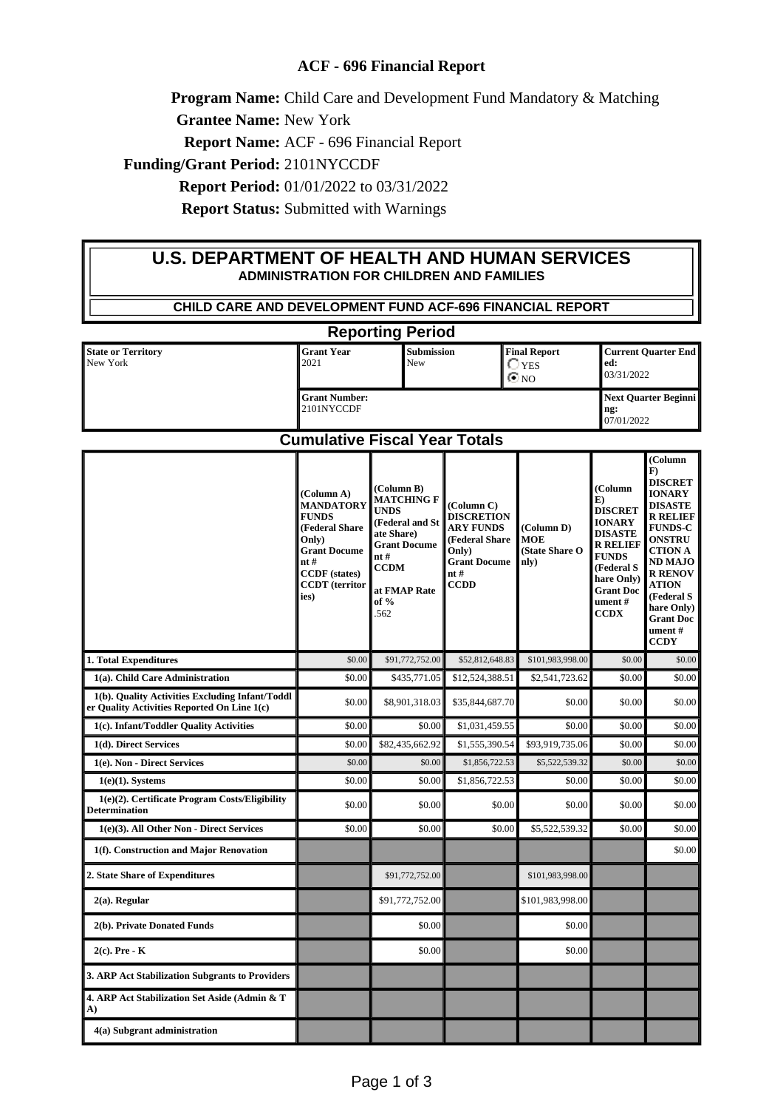## **ACF - 696 Financial Report**

**Program Name:** Child Care and Development Fund Mandatory & Matching

**Grantee Name:** New York

**Report Name:** ACF - 696 Financial Report

**Funding/Grant Period:** 2101NYCCDF

**Report Period:** 01/01/2022 to 03/31/2022

**Report Status:** Submitted with Warnings

## **U.S. DEPARTMENT OF HEALTH AND HUMAN SERVICES ADMINISTRATION FOR CHILDREN AND FAMILIES**

| <b>CHILD CARE AND DEVELOPMENT FUND ACF-696 FINANCIAL REPORT</b>                                                                   |                                                                                                                                                                  |                                                                                                                                                              |                                                                                                                              |                                                     |                                                                                                                                                                                |                                                                                                                                                                                                                                                                               |
|-----------------------------------------------------------------------------------------------------------------------------------|------------------------------------------------------------------------------------------------------------------------------------------------------------------|--------------------------------------------------------------------------------------------------------------------------------------------------------------|------------------------------------------------------------------------------------------------------------------------------|-----------------------------------------------------|--------------------------------------------------------------------------------------------------------------------------------------------------------------------------------|-------------------------------------------------------------------------------------------------------------------------------------------------------------------------------------------------------------------------------------------------------------------------------|
| <b>Reporting Period</b>                                                                                                           |                                                                                                                                                                  |                                                                                                                                                              |                                                                                                                              |                                                     |                                                                                                                                                                                |                                                                                                                                                                                                                                                                               |
| <b>State or Territory</b><br>New York                                                                                             | <b>Grant Year</b><br>2021                                                                                                                                        | Submission<br>New                                                                                                                                            |                                                                                                                              | <b>Final Report</b><br>$\bigcirc$ yes<br>$\odot$ NO | <b>Current Quarter End</b><br>ed:<br>03/31/2022                                                                                                                                |                                                                                                                                                                                                                                                                               |
|                                                                                                                                   | <b>Grant Number:</b><br>2101NYCCDF                                                                                                                               |                                                                                                                                                              |                                                                                                                              | <b>Next Quarter Beginni</b><br>ng:<br>07/01/2022    |                                                                                                                                                                                |                                                                                                                                                                                                                                                                               |
| <b>Cumulative Fiscal Year Totals</b>                                                                                              |                                                                                                                                                                  |                                                                                                                                                              |                                                                                                                              |                                                     |                                                                                                                                                                                |                                                                                                                                                                                                                                                                               |
|                                                                                                                                   | (Column A)<br><b>MANDATORY</b><br><b>FUNDS</b><br>(Federal Share<br>Only)<br><b>Grant Docume</b><br>nt#<br><b>CCDF</b> (states)<br><b>CCDT</b> (territor<br>ies) | (Column B)<br><b>MATCHING F</b><br><b>UNDS</b><br>(Federal and St<br>ate Share)<br><b>Grant Docume</b><br>nt#<br><b>CCDM</b><br>at FMAP Rate<br>of %<br>.562 | (Column C)<br><b>DISCRETION</b><br><b>ARY FUNDS</b><br>(Federal Share<br>Only)<br><b>Grant Docume</b><br>nt #<br><b>CCDD</b> | (Column D)<br><b>MOE</b><br>(State Share O<br>nly)  | (Column<br>E)<br><b>DISCRET</b><br><b>IONARY</b><br><b>DISASTE</b><br><b>R RELIEF</b><br><b>FUNDS</b><br>(Federal S<br>hare Only)<br><b>Grant Doc</b><br>ument#<br><b>CCDX</b> | (Column<br>$\bf{F}$<br><b>DISCRET</b><br><b>IONARY</b><br><b>DISASTE</b><br><b>R RELIEF</b><br><b>FUNDS-C</b><br><b>ONSTRU</b><br><b>CTION A</b><br><b>ND MAJO</b><br><b>R RENOV</b><br><b>ATION</b><br>(Federal S<br>hare Only)<br><b>Grant Doc</b><br>ument#<br><b>CCDY</b> |
| 1. Total Expenditures                                                                                                             | \$0.00                                                                                                                                                           | \$91,772,752.00                                                                                                                                              | \$52,812,648.83                                                                                                              | \$101,983,998.00                                    | \$0.00                                                                                                                                                                         | \$0.00                                                                                                                                                                                                                                                                        |
| 1(a). Child Care Administration<br>1(b). Quality Activities Excluding Infant/Toddl<br>er Quality Activities Reported On Line 1(c) | \$0.00<br>\$0.00                                                                                                                                                 | \$435,771.05<br>\$8,901,318.03                                                                                                                               | \$12,524,388.51<br>\$35,844,687.70                                                                                           | \$2,541,723.62<br>\$0.00                            | \$0.00<br>\$0.00                                                                                                                                                               | \$0.00<br>\$0.00                                                                                                                                                                                                                                                              |
| 1(c). Infant/Toddler Quality Activities                                                                                           | \$0.00                                                                                                                                                           | \$0.00                                                                                                                                                       | \$1,031,459.55                                                                                                               | \$0.00                                              | \$0.00                                                                                                                                                                         | \$0.00                                                                                                                                                                                                                                                                        |
| 1(d). Direct Services                                                                                                             | \$0.00                                                                                                                                                           | \$82,435,662.92                                                                                                                                              | \$1,555,390.54                                                                                                               | \$93,919,735.06                                     | \$0.00                                                                                                                                                                         | \$0.00                                                                                                                                                                                                                                                                        |
| 1(e). Non - Direct Services                                                                                                       | \$0.00                                                                                                                                                           | \$0.00                                                                                                                                                       | \$1,856,722.53                                                                                                               | \$5,522,539.32                                      | \$0.00                                                                                                                                                                         | \$0.00                                                                                                                                                                                                                                                                        |
| $1(e)(1)$ . Systems                                                                                                               | \$0.00                                                                                                                                                           | \$0.00                                                                                                                                                       | \$1,856,722.53                                                                                                               | \$0.00                                              | \$0.00                                                                                                                                                                         | \$0.00                                                                                                                                                                                                                                                                        |
| 1(e)(2). Certificate Program Costs/Eligibility<br><b>Determination</b>                                                            | \$0.00                                                                                                                                                           | \$0.00                                                                                                                                                       | \$0.00                                                                                                                       | \$0.00                                              | \$0.00                                                                                                                                                                         | \$0.00                                                                                                                                                                                                                                                                        |
| 1(e)(3). All Other Non - Direct Services                                                                                          | \$0.00                                                                                                                                                           | \$0.00                                                                                                                                                       | \$0.00                                                                                                                       | \$5,522,539.32                                      | \$0.00                                                                                                                                                                         | \$0.00                                                                                                                                                                                                                                                                        |
| 1(f). Construction and Major Renovation                                                                                           |                                                                                                                                                                  |                                                                                                                                                              |                                                                                                                              |                                                     |                                                                                                                                                                                | \$0.00                                                                                                                                                                                                                                                                        |
| 2. State Share of Expenditures                                                                                                    |                                                                                                                                                                  | \$91,772,752.00                                                                                                                                              |                                                                                                                              | \$101,983,998.00                                    |                                                                                                                                                                                |                                                                                                                                                                                                                                                                               |
| $2(a)$ . Regular                                                                                                                  |                                                                                                                                                                  | \$91,772,752.00                                                                                                                                              |                                                                                                                              | \$101,983,998.00                                    |                                                                                                                                                                                |                                                                                                                                                                                                                                                                               |
| 2(b). Private Donated Funds                                                                                                       |                                                                                                                                                                  | \$0.00                                                                                                                                                       |                                                                                                                              | \$0.00                                              |                                                                                                                                                                                |                                                                                                                                                                                                                                                                               |
| $2(c)$ . Pre - K                                                                                                                  |                                                                                                                                                                  | \$0.00                                                                                                                                                       |                                                                                                                              | \$0.00                                              |                                                                                                                                                                                |                                                                                                                                                                                                                                                                               |
| 3. ARP Act Stabilization Subgrants to Providers                                                                                   |                                                                                                                                                                  |                                                                                                                                                              |                                                                                                                              |                                                     |                                                                                                                                                                                |                                                                                                                                                                                                                                                                               |
| 4. ARP Act Stabilization Set Aside (Admin & T<br>A)                                                                               |                                                                                                                                                                  |                                                                                                                                                              |                                                                                                                              |                                                     |                                                                                                                                                                                |                                                                                                                                                                                                                                                                               |
| 4(a) Subgrant administration                                                                                                      |                                                                                                                                                                  |                                                                                                                                                              |                                                                                                                              |                                                     |                                                                                                                                                                                |                                                                                                                                                                                                                                                                               |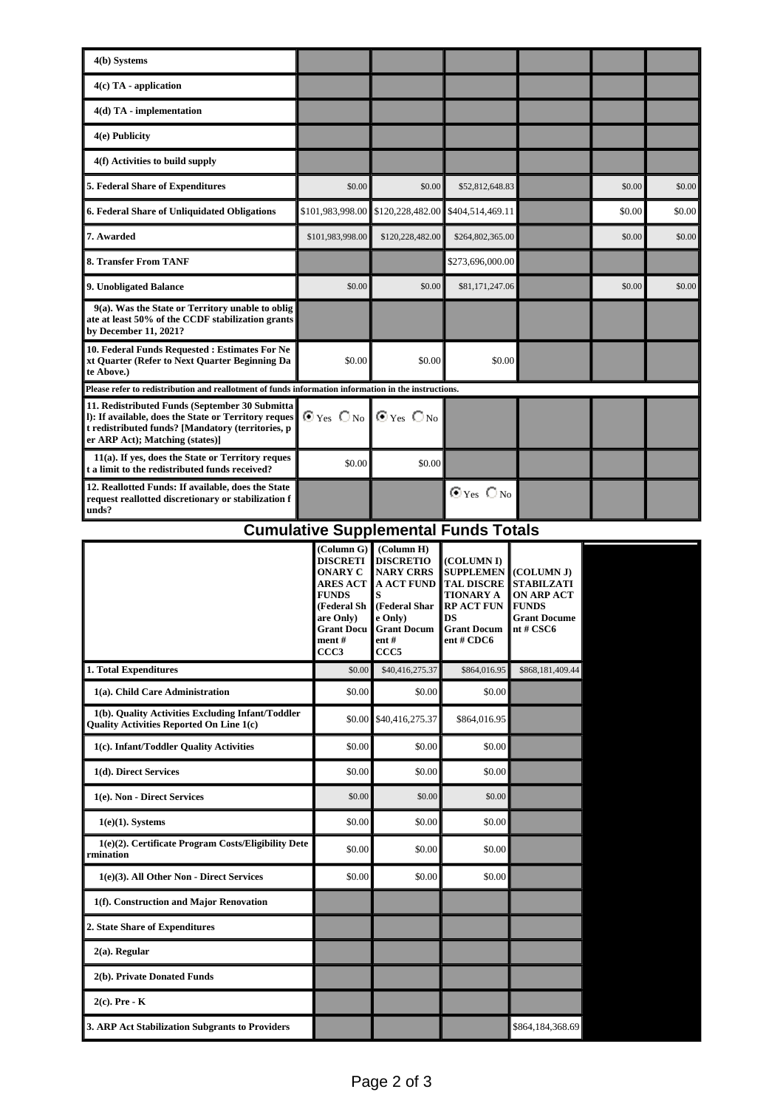| 4(b) Systems                                                                                                                                                                                    |                                                                    |                  |                        |  |        |        |
|-------------------------------------------------------------------------------------------------------------------------------------------------------------------------------------------------|--------------------------------------------------------------------|------------------|------------------------|--|--------|--------|
| $4(c)$ TA - application                                                                                                                                                                         |                                                                    |                  |                        |  |        |        |
| $4(d)$ TA - implementation                                                                                                                                                                      |                                                                    |                  |                        |  |        |        |
| 4(e) Publicity                                                                                                                                                                                  |                                                                    |                  |                        |  |        |        |
| 4(f) Activities to build supply                                                                                                                                                                 |                                                                    |                  |                        |  |        |        |
| 5. Federal Share of Expenditures                                                                                                                                                                | \$0.00                                                             | \$0.00           | \$52,812,648.83        |  | \$0.00 | \$0.00 |
| 6. Federal Share of Unliquidated Obligations                                                                                                                                                    | \$101,983,998.00                                                   | \$120,228,482.00 | \$404,514,469.11       |  | \$0.00 | \$0.00 |
| 7. Awarded                                                                                                                                                                                      | \$101,983,998.00                                                   | \$120,228,482.00 | \$264,802,365.00       |  | \$0.00 | \$0.00 |
| <b>8. Transfer From TANF</b>                                                                                                                                                                    |                                                                    |                  | \$273,696,000.00       |  |        |        |
| 9. Unobligated Balance                                                                                                                                                                          | \$0.00                                                             | \$0.00           | \$81,171,247.06        |  | \$0.00 | \$0.00 |
| 9(a). Was the State or Territory unable to oblig<br>ate at least 50% of the CCDF stabilization grants<br>by December 11, 2021?                                                                  |                                                                    |                  |                        |  |        |        |
| 10. Federal Funds Requested : Estimates For Ne<br>xt Quarter (Refer to Next Quarter Beginning Da<br>te Above.)                                                                                  | \$0.00                                                             | \$0.00           | \$0.00                 |  |        |        |
| Please refer to redistribution and reallotment of funds information information in the instructions.                                                                                            |                                                                    |                  |                        |  |        |        |
| 11. Redistributed Funds (September 30 Submitta)<br>l): If available, does the State or Territory reques<br>t redistributed funds? [Mandatory (territories, p<br>er ARP Act); Matching (states)] | $\odot$ Yes $\bigcirc$ No $\blacksquare$ $\odot$ Yes $\bigcirc$ No |                  |                        |  |        |        |
| 11(a). If yes, does the State or Territory reques<br>t a limit to the redistributed funds received?                                                                                             | \$0.00                                                             | \$0.00           |                        |  |        |        |
| 12. Reallotted Funds: If available, does the State<br>request reallotted discretionary or stabilization f<br>unds?                                                                              |                                                                    |                  | $\odot$ Yes $\odot$ No |  |        |        |

## **Cumulative Supplemental Funds Totals**

|                                                                                                      | (Column G)<br><b>DISCRETI</b><br><b>ONARY C</b><br><b>ARES ACT</b><br><b>FUNDS</b><br>(Federal Sh<br>are Only)<br><b>Grant Docu</b><br>ment#<br>CCC <sub>3</sub> | (Column H)<br><b>DISCRETIO</b><br><b>NARY CRRS</b><br><b>A ACT FUND</b><br>S<br>(Federal Shar<br>e Only)<br><b>Grant Docum</b><br>$ent$ #<br>CCC <sub>5</sub> | (COLUMN I)<br><b>SUPPLEMEN</b><br><b>TAL DISCRE</b><br><b>TIONARY A</b><br><b>RP ACT FUN</b><br>DS<br><b>Grant Docum</b><br>ent#CDC6 | (COLUMN J)<br><b>STABILZATI</b><br><b>ON ARP ACT</b><br><b>FUNDS</b><br><b>Grant Docume</b><br>nt#CSC6 |
|------------------------------------------------------------------------------------------------------|------------------------------------------------------------------------------------------------------------------------------------------------------------------|---------------------------------------------------------------------------------------------------------------------------------------------------------------|--------------------------------------------------------------------------------------------------------------------------------------|--------------------------------------------------------------------------------------------------------|
| 1. Total Expenditures                                                                                | \$0.00                                                                                                                                                           | \$40,416,275.37                                                                                                                                               | \$864,016.95                                                                                                                         | \$868,181,409.44                                                                                       |
| 1(a). Child Care Administration                                                                      | \$0.00                                                                                                                                                           | \$0.00                                                                                                                                                        | \$0.00                                                                                                                               |                                                                                                        |
| 1(b). Quality Activities Excluding Infant/Toddler<br><b>Ouality Activities Reported On Line 1(c)</b> | \$0.00                                                                                                                                                           | \$40,416,275.37                                                                                                                                               | \$864,016.95                                                                                                                         |                                                                                                        |
| 1(c). Infant/Toddler Quality Activities                                                              | \$0.00                                                                                                                                                           | \$0.00                                                                                                                                                        | \$0.00                                                                                                                               |                                                                                                        |
| 1(d). Direct Services                                                                                | \$0.00                                                                                                                                                           | \$0.00                                                                                                                                                        | \$0.00                                                                                                                               |                                                                                                        |
| 1(e). Non - Direct Services                                                                          | \$0.00                                                                                                                                                           | \$0.00                                                                                                                                                        | \$0.00                                                                                                                               |                                                                                                        |
| $1(e)(1)$ . Systems                                                                                  | \$0.00                                                                                                                                                           | \$0.00                                                                                                                                                        | \$0.00                                                                                                                               |                                                                                                        |
| 1(e)(2). Certificate Program Costs/Eligibility Dete<br>rmination                                     | \$0.00                                                                                                                                                           | \$0.00                                                                                                                                                        | \$0.00                                                                                                                               |                                                                                                        |
| 1(e)(3). All Other Non - Direct Services                                                             | \$0.00                                                                                                                                                           | \$0.00                                                                                                                                                        | \$0.00                                                                                                                               |                                                                                                        |
| 1(f). Construction and Major Renovation                                                              |                                                                                                                                                                  |                                                                                                                                                               |                                                                                                                                      |                                                                                                        |
| 2. State Share of Expenditures                                                                       |                                                                                                                                                                  |                                                                                                                                                               |                                                                                                                                      |                                                                                                        |
| $2(a)$ . Regular                                                                                     |                                                                                                                                                                  |                                                                                                                                                               |                                                                                                                                      |                                                                                                        |
| 2(b). Private Donated Funds                                                                          |                                                                                                                                                                  |                                                                                                                                                               |                                                                                                                                      |                                                                                                        |
| $2(c)$ . Pre - K                                                                                     |                                                                                                                                                                  |                                                                                                                                                               |                                                                                                                                      |                                                                                                        |
| 3. ARP Act Stabilization Subgrants to Providers                                                      |                                                                                                                                                                  |                                                                                                                                                               |                                                                                                                                      | \$864,184,368.69                                                                                       |